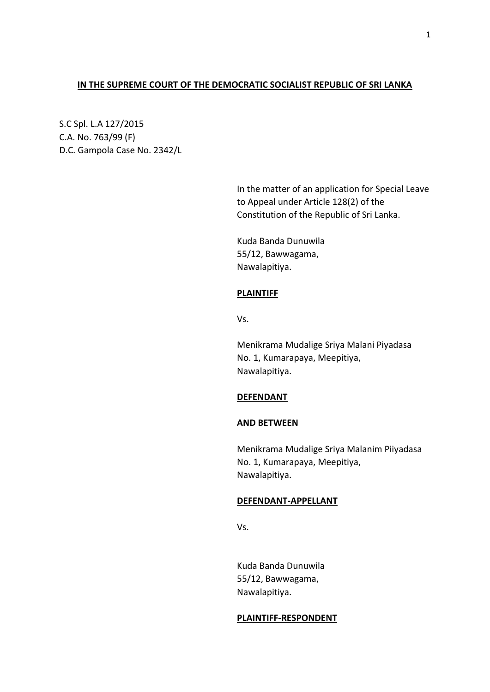# **IN THE SUPREME COURT OF THE DEMOCRATIC SOCIALIST REPUBLIC OF SRI LANKA**

S.C Spl. L.A 127/2015 C.A. No. 763/99 (F) D.C. Gampola Case No. 2342/L

> In the matter of an application for Special Leave to Appeal under Article 128(2) of the Constitution of the Republic of Sri Lanka.

Kuda Banda Dunuwila 55/12, Bawwagama, Nawalapitiya.

# **PLAINTIFF**

Vs.

Menikrama Mudalige Sriya Malani Piyadasa No. 1, Kumarapaya, Meepitiya, Nawalapitiya.

## **DEFENDANT**

## **AND BETWEEN**

Menikrama Mudalige Sriya Malanim Piiyadasa No. 1, Kumarapaya, Meepitiya, Nawalapitiya.

#### **DEFENDANT-APPELLANT**

Vs.

Kuda Banda Dunuwila 55/12, Bawwagama, Nawalapitiya.

#### **PLAINTIFF-RESPONDENT**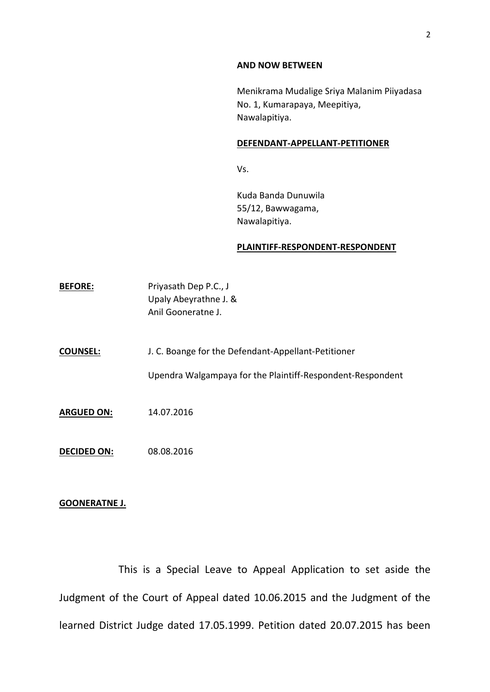#### **AND NOW BETWEEN**

Menikrama Mudalige Sriya Malanim Piiyadasa No. 1, Kumarapaya, Meepitiya, Nawalapitiya.

## **DEFENDANT-APPELLANT-PETITIONER**

Vs.

Kuda Banda Dunuwila 55/12, Bawwagama, Nawalapitiya.

#### **PLAINTIFF-RESPONDENT-RESPONDENT**

| <b>BEFORE:</b>     | Priyasath Dep P.C., J<br>Upaly Abeyrathne J. &<br>Anil Gooneratne J.                                              |
|--------------------|-------------------------------------------------------------------------------------------------------------------|
| <b>COUNSEL:</b>    | J. C. Boange for the Defendant-Appellant-Petitioner<br>Upendra Walgampaya for the Plaintiff-Respondent-Respondent |
| <b>ARGUED ON:</b>  | 14.07.2016                                                                                                        |
| <b>DECIDED ON:</b> | 08.08.2016                                                                                                        |

# **GOONERATNE J.**

This is a Special Leave to Appeal Application to set aside the Judgment of the Court of Appeal dated 10.06.2015 and the Judgment of the learned District Judge dated 17.05.1999. Petition dated 20.07.2015 has been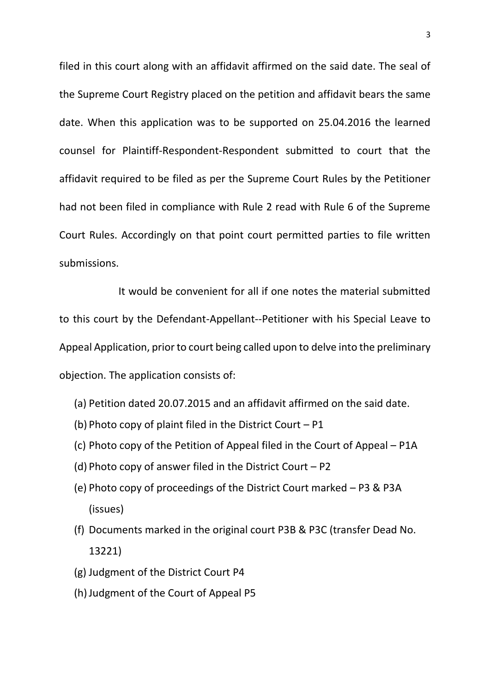filed in this court along with an affidavit affirmed on the said date. The seal of the Supreme Court Registry placed on the petition and affidavit bears the same date. When this application was to be supported on 25.04.2016 the learned counsel for Plaintiff-Respondent-Respondent submitted to court that the affidavit required to be filed as per the Supreme Court Rules by the Petitioner had not been filed in compliance with Rule 2 read with Rule 6 of the Supreme Court Rules. Accordingly on that point court permitted parties to file written submissions.

It would be convenient for all if one notes the material submitted to this court by the Defendant-Appellant--Petitioner with his Special Leave to Appeal Application, prior to court being called upon to delve into the preliminary objection. The application consists of:

- (a) Petition dated 20.07.2015 and an affidavit affirmed on the said date.
- (b) Photo copy of plaint filed in the District Court  $P1$
- (c) Photo copy of the Petition of Appeal filed in the Court of Appeal P1A
- (d) Photo copy of answer filed in the District Court P2
- (e) Photo copy of proceedings of the District Court marked P3 & P3A (issues)
- (f) Documents marked in the original court P3B & P3C (transfer Dead No. 13221)
- (g) Judgment of the District Court P4
- (h)Judgment of the Court of Appeal P5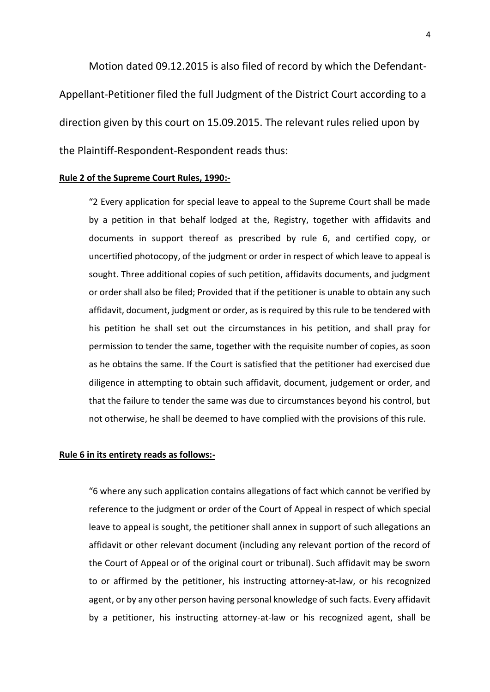Motion dated 09.12.2015 is also filed of record by which the Defendant-Appellant-Petitioner filed the full Judgment of the District Court according to a direction given by this court on 15.09.2015. The relevant rules relied upon by the Plaintiff-Respondent-Respondent reads thus:

#### **Rule 2 of the Supreme Court Rules, 1990:-**

"2 Every application for special leave to appeal to the Supreme Court shall be made by a petition in that behalf lodged at the, Registry, together with affidavits and documents in support thereof as prescribed by rule 6, and certified copy, or uncertified photocopy, of the judgment or order in respect of which leave to appeal is sought. Three additional copies of such petition, affidavits documents, and judgment or order shall also be filed; Provided that if the petitioner is unable to obtain any such affidavit, document, judgment or order, as is required by this rule to be tendered with his petition he shall set out the circumstances in his petition, and shall pray for permission to tender the same, together with the requisite number of copies, as soon as he obtains the same. If the Court is satisfied that the petitioner had exercised due diligence in attempting to obtain such affidavit, document, judgement or order, and that the failure to tender the same was due to circumstances beyond his control, but not otherwise, he shall be deemed to have complied with the provisions of this rule.

## **Rule 6 in its entirety reads as follows:-**

"6 where any such application contains allegations of fact which cannot be verified by reference to the judgment or order of the Court of Appeal in respect of which special leave to appeal is sought, the petitioner shall annex in support of such allegations an affidavit or other relevant document (including any relevant portion of the record of the Court of Appeal or of the original court or tribunal). Such affidavit may be sworn to or affirmed by the petitioner, his instructing attorney-at-law, or his recognized agent, or by any other person having personal knowledge of such facts. Every affidavit by a petitioner, his instructing attorney-at-law or his recognized agent, shall be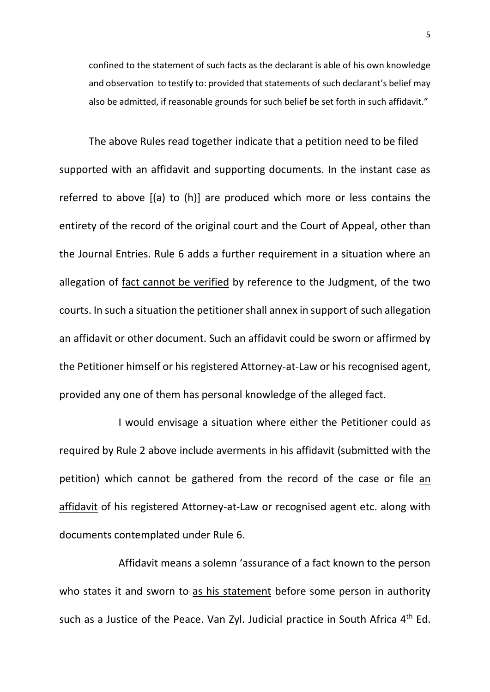confined to the statement of such facts as the declarant is able of his own knowledge and observation to testify to: provided that statements of such declarant's belief may also be admitted, if reasonable grounds for such belief be set forth in such affidavit."

The above Rules read together indicate that a petition need to be filed supported with an affidavit and supporting documents. In the instant case as referred to above [(a) to (h)] are produced which more or less contains the entirety of the record of the original court and the Court of Appeal, other than the Journal Entries. Rule 6 adds a further requirement in a situation where an allegation of fact cannot be verified by reference to the Judgment, of the two courts. In such a situation the petitioner shall annex in support of such allegation an affidavit or other document. Such an affidavit could be sworn or affirmed by the Petitioner himself or his registered Attorney-at-Law or his recognised agent, provided any one of them has personal knowledge of the alleged fact.

I would envisage a situation where either the Petitioner could as required by Rule 2 above include averments in his affidavit (submitted with the petition) which cannot be gathered from the record of the case or file an affidavit of his registered Attorney-at-Law or recognised agent etc. along with documents contemplated under Rule 6.

Affidavit means a solemn 'assurance of a fact known to the person who states it and sworn to as his statement before some person in authority such as a Justice of the Peace. Van Zyl. Judicial practice in South Africa 4<sup>th</sup> Ed.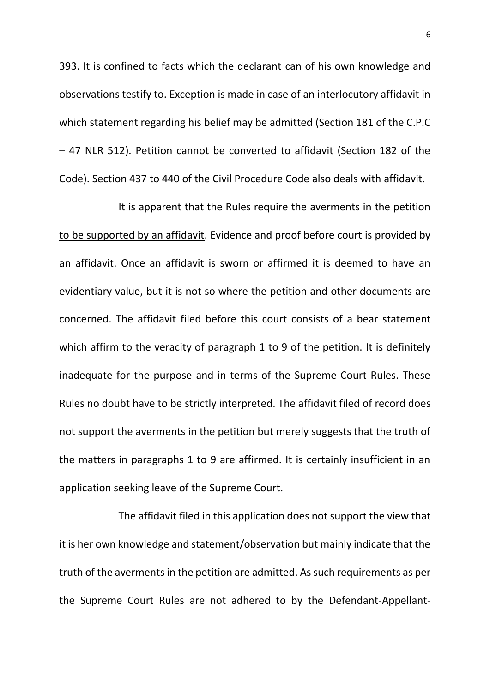393. It is confined to facts which the declarant can of his own knowledge and observations testify to. Exception is made in case of an interlocutory affidavit in which statement regarding his belief may be admitted (Section 181 of the C.P.C – 47 NLR 512). Petition cannot be converted to affidavit (Section 182 of the Code). Section 437 to 440 of the Civil Procedure Code also deals with affidavit.

It is apparent that the Rules require the averments in the petition to be supported by an affidavit. Evidence and proof before court is provided by an affidavit. Once an affidavit is sworn or affirmed it is deemed to have an evidentiary value, but it is not so where the petition and other documents are concerned. The affidavit filed before this court consists of a bear statement which affirm to the veracity of paragraph 1 to 9 of the petition. It is definitely inadequate for the purpose and in terms of the Supreme Court Rules. These Rules no doubt have to be strictly interpreted. The affidavit filed of record does not support the averments in the petition but merely suggests that the truth of the matters in paragraphs 1 to 9 are affirmed. It is certainly insufficient in an application seeking leave of the Supreme Court.

The affidavit filed in this application does not support the view that it is her own knowledge and statement/observation but mainly indicate that the truth of the averments in the petition are admitted. As such requirements as per the Supreme Court Rules are not adhered to by the Defendant-Appellant-